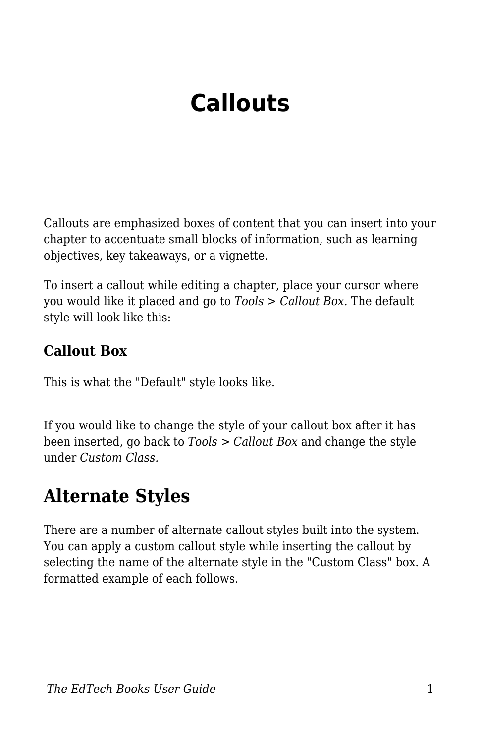# **Callouts**

Callouts are emphasized boxes of content that you can insert into your chapter to accentuate small blocks of information, such as learning objectives, key takeaways, or a vignette.

To insert a callout while editing a chapter, place your cursor where you would like it placed and go to *Tools > Callout Box*. The default style will look like this:

#### **Callout Box**

This is what the "Default" style looks like.

If you would like to change the style of your callout box after it has been inserted, go back to *Tools > Callout Box* and change the style under *Custom Class.*

### **Alternate Styles**

There are a number of alternate callout styles built into the system. You can apply a custom callout style while inserting the callout by selecting the name of the alternate style in the "Custom Class" box. A formatted example of each follows.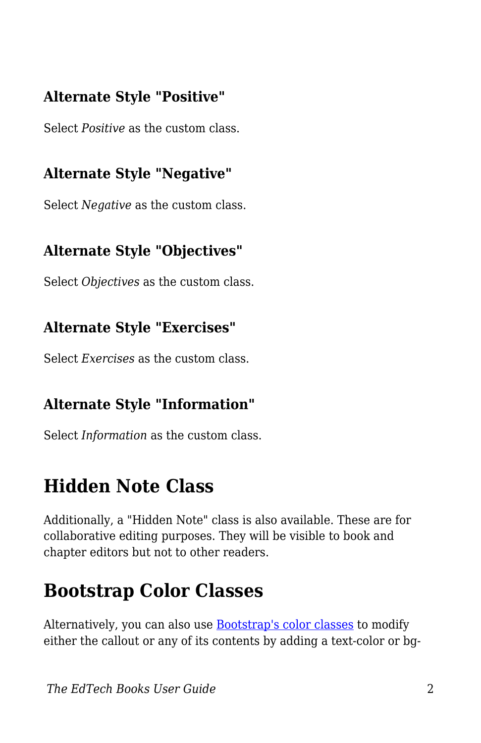### **Alternate Style "Positive"**

Select *Positive* as the custom class.

### **Alternate Style "Negative"**

Select *Negative* as the custom class.

### **Alternate Style "Objectives"**

Select *Objectives* as the custom class.

#### **Alternate Style "Exercises"**

Select *Exercises* as the custom class.

### **Alternate Style "Information"**

Select *Information* as the custom class.

### **Hidden Note Class**

Additionally, a "Hidden Note" class is also available. These are for collaborative editing purposes. They will be visible to book and chapter editors but not to other readers.

### **Bootstrap Color Classes**

Alternatively, you can also use **Bootstrap's color classes** to modify either the callout or any of its contents by adding a text-color or bg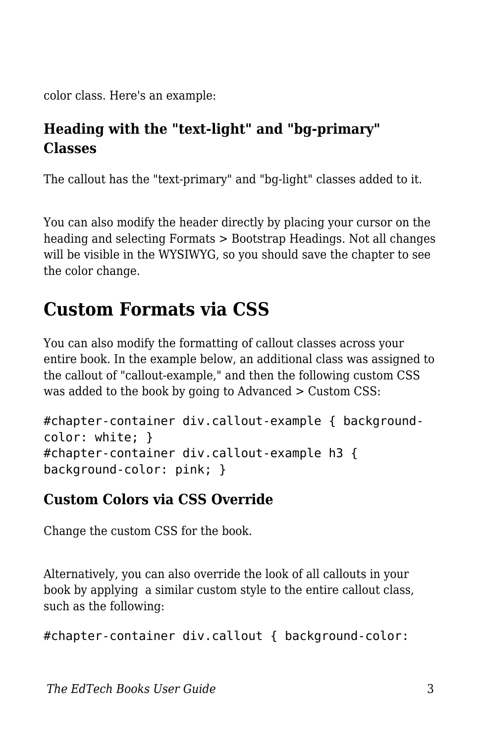color class. Here's an example:

### **Heading with the "text-light" and "bg-primary" Classes**

The callout has the "text-primary" and "bg-light" classes added to it.

You can also modify the header directly by placing your cursor on the heading and selecting Formats > Bootstrap Headings. Not all changes will be visible in the WYSIWYG, so you should save the chapter to see the color change.

## **Custom Formats via CSS**

You can also modify the formatting of callout classes across your entire book. In the example below, an additional class was assigned to the callout of "callout-example," and then the following custom CSS was added to the book by going to Advanced > Custom CSS:

```
#chapter-container div.callout-example { background-
color: white; }
#chapter-container div.callout-example h3 {
background-color: pink; }
```
### **Custom Colors via CSS Override**

Change the custom CSS for the book.

Alternatively, you can also override the look of all callouts in your book by applying a similar custom style to the entire callout class, such as the following:

```
#chapter-container div.callout { background-color:
```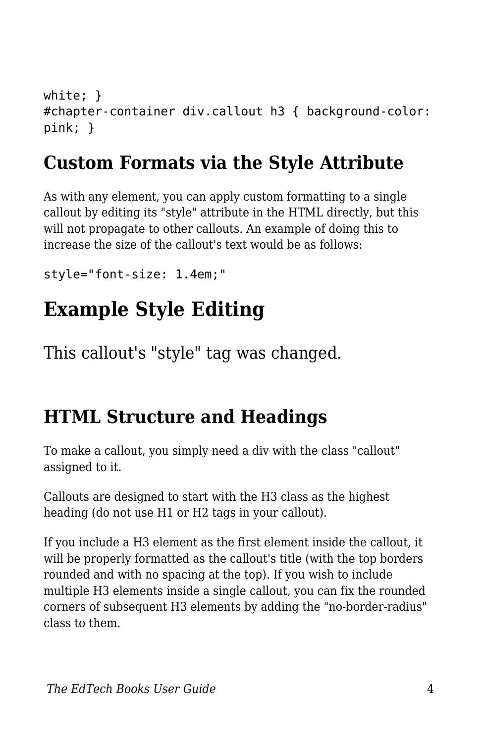```
white; }
#chapter-container div.callout h3 { background-color:
pink; }
```
### **Custom Formats via the Style Attribute**

As with any element, you can apply custom formatting to a single callout by editing its "style" attribute in the HTML directly, but this will not propagate to other callouts. An example of doing this to increase the size of the callout's text would be as follows:

style="font-size: 1.4em;"

# **Example Style Editing**

This callout's "style" tag was changed.

### **HTML Structure and Headings**

To make a callout, you simply need a div with the class "callout" assigned to it.

Callouts are designed to start with the H3 class as the highest heading (do not use H1 or H2 tags in your callout).

If you include a H3 element as the first element inside the callout, it will be properly formatted as the callout's title (with the top borders rounded and with no spacing at the top). If you wish to include multiple H3 elements inside a single callout, you can fix the rounded corners of subsequent H3 elements by adding the "no-border-radius" class to them.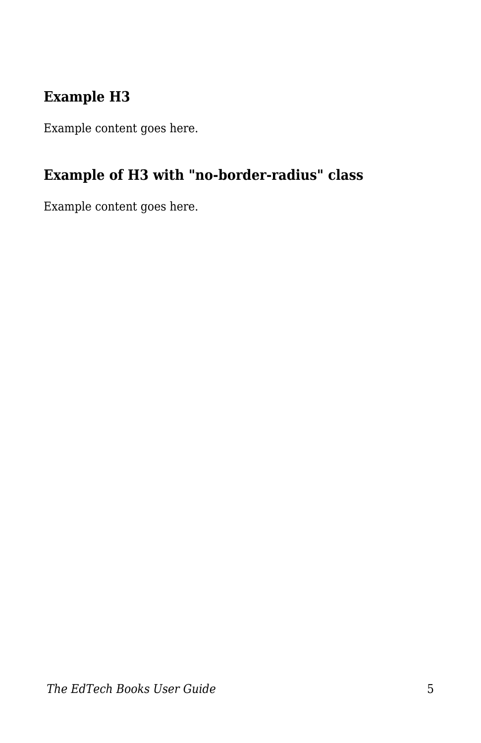### **Example H3**

Example content goes here.

### **Example of H3 with "no-border-radius" class**

Example content goes here.